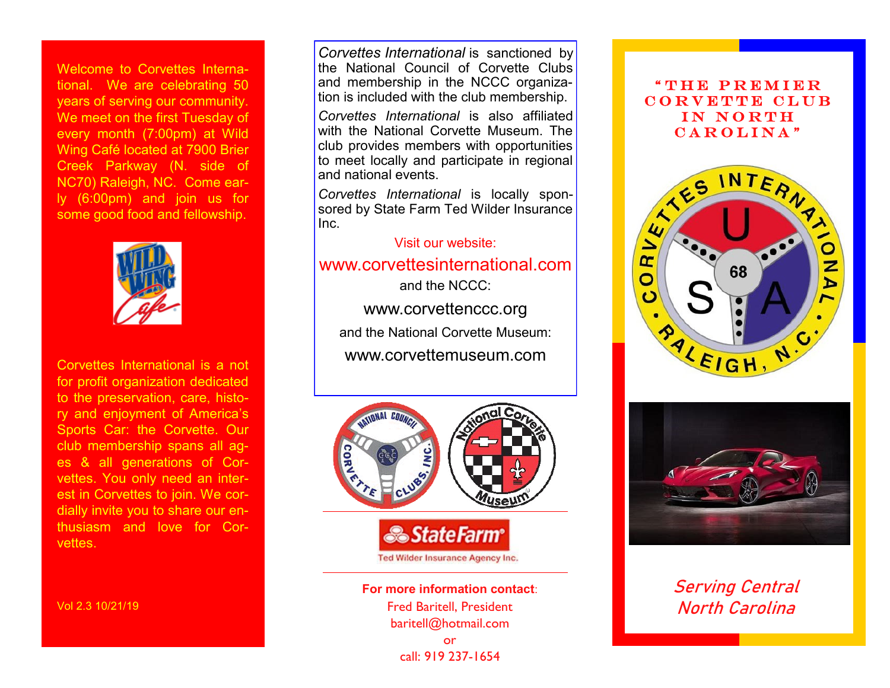Welcome to Corvettes International. We are celebrating 50 years of serving our community. We meet on the first Tuesday of every month (7:00pm) at Wild Wing Café located at 7900 Brier Creek Parkway (N. side of NC70) Raleigh, NC. Come early (6:00pm) and join us for some good food and fellowship.



Corvettes International is a not for profit organization dedicated to the preservation, care, history and enjoyment of America's Sports Car: the Corvette. Our club membership spans all ages & all generations of Corvettes. You only need an interest in Corvettes to join. We cordially invite you to share our enthusiasm and love for Corvettes.

Vol 2.3 10/21/19

*Corvettes International* is sanctioned by the National Council of Corvette Clubs and membership in the NCCC organization is included with the club membership.

*Corvettes International* is also affiliated with the National Corvette Museum. The club provides members with opportunities to meet locally and participate in regional and national events.

*Corvettes International* is locally sponsored by State Farm Ted Wilder Insurance Inc.

Visit our website:

www.corvettesinternational.com

and the NCCC: www.corvettenccc.org and the National Corvette Museum: www.corvettemuseum.com



**For more information contact**: Fred Baritell, President baritell@hotmail.com or call: 919 237-1654

## " THE PREMIER CORVETTE CLUB IN NORTH CAROLINA"





Serving Central North Carolina